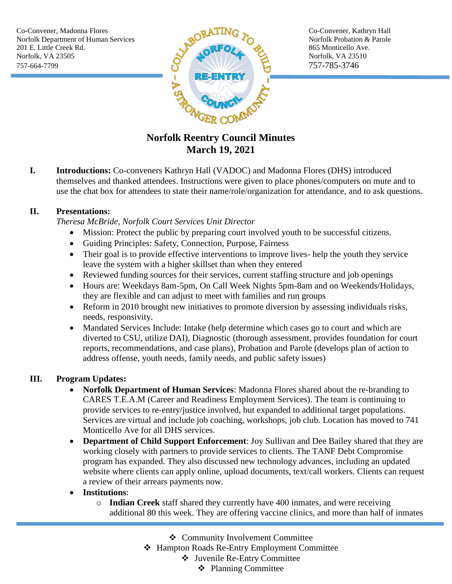

# **Norfolk Reentry Council Minutes March 19, 2021**

**I. Introductions:** Co-conveners Kathryn Hall (VADOC) and Madonna Flores (DHS) introduced themselves and thanked attendees. Instructions were given to place phones/computers on mute and to use the chat box for attendees to state their name/role/organization for attendance, and to ask questions.

### **II. Presentations:**

*Theresa McBride, Norfolk Court Services Unit Director*

- Mission: Protect the public by preparing court involved youth to be successful citizens.
- Guiding Principles: Safety, Connection, Purpose, Fairness
- Their goal is to provide effective interventions to improve lives- help the youth they service leave the system with a higher skillset than when they entered
- Reviewed funding sources for their services, current staffing structure and job openings
- Hours are: Weekdays 8am-5pm, On Call Week Nights 5pm-8am and on Weekends/Holidays, they are flexible and can adjust to meet with families and run groups
- Reform in 2010 brought new initiatives to promote diversion by assessing individuals risks, needs, responsivity.
- Mandated Services Include: Intake (help determine which cases go to court and which are diverted to CSU, utilize DAI), Diagnostic (thorough assessment, provides foundation for court reports, recommendations, and case plans), Probation and Parole (develops plan of action to address offense, youth needs, family needs, and public safety issues)

### **III. Program Updates:**

- **Norfolk Department of Human Services**: Madonna Flores shared about the re-branding to CARES T.E.A.M (Career and Readiness Employment Services). The team is continuing to provide services to re-entry/justice involved, but expanded to additional target populations. Services are virtual and include job coaching, workshops, job club. Location has moved to 741 Monticello Ave for all DHS services.
- **Department of Child Support Enforcement**: Joy Sullivan and Dee Bailey shared that they are working closely with partners to provide services to clients. The TANF Debt Compromise program has expanded. They also discussed new technology advances, including an updated website where clients can apply online, upload documents, text/call workers. Clients can request a review of their arrears payments now.

### **Institutions**:

- o **Indian Creek** staff shared they currently have 400 inmates, and were receiving additional 80 this week. They are offering vaccine clinics, and more than half of inmates
	- Community Involvement Committee
	- Hampton Roads Re-Entry Employment Committee
		- Juvenile Re-Entry Committee
			- ❖ Planning Committee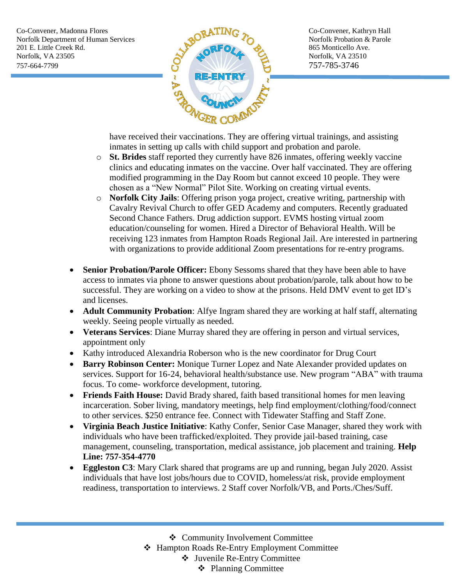Co-Convener, Madonna Flores Co-Convener, Kathryn Hall Norfolk Department of Human Services  $\mathbb{R}^{\mathbb{C}}$  Norfolk Probation & Parole 201 E. Little Creek Rd. 865 Monticello Ave. Norfolk, VA 23505 Norfolk, VA 23510 757-664-7799 757-785-3746



have received their vaccinations. They are offering virtual trainings, and assisting inmates in setting up calls with child support and probation and parole.

- o **St. Brides** staff reported they currently have 826 inmates, offering weekly vaccine clinics and educating inmates on the vaccine. Over half vaccinated. They are offering modified programming in the Day Room but cannot exceed 10 people. They were chosen as a "New Normal" Pilot Site. Working on creating virtual events.
- o **Norfolk City Jails**: Offering prison yoga project, creative writing, partnership with Cavalry Revival Church to offer GED Academy and computers. Recently graduated Second Chance Fathers. Drug addiction support. EVMS hosting virtual zoom education/counseling for women. Hired a Director of Behavioral Health. Will be receiving 123 inmates from Hampton Roads Regional Jail. Are interested in partnering with organizations to provide additional Zoom presentations for re-entry programs.
- Senior Probation/Parole Officer: Ebony Sessoms shared that they have been able to have access to inmates via phone to answer questions about probation/parole, talk about how to be successful. They are working on a video to show at the prisons. Held DMV event to get ID's and licenses.
- **Adult Community Probation**: Alfye Ingram shared they are working at half staff, alternating weekly. Seeing people virtually as needed.
- **Veterans Services**: Diane Murray shared they are offering in person and virtual services, appointment only
- Kathy introduced Alexandria Roberson who is the new coordinator for Drug Court
- **Barry Robinson Center:** Monique Turner Lopez and Nate Alexander provided updates on services. Support for 16-24, behavioral health/substance use. New program "ABA" with trauma focus. To come- workforce development, tutoring.
- **Friends Faith House:** David Brady shared, faith based transitional homes for men leaving incarceration. Sober living, mandatory meetings, help find employment/clothing/food/connect to other services. \$250 entrance fee. Connect with Tidewater Staffing and Staff Zone.
- **Virginia Beach Justice Initiative**: Kathy Confer, Senior Case Manager, shared they work with individuals who have been trafficked/exploited. They provide jail-based training, case management, counseling, transportation, medical assistance, job placement and training. **Help Line: 757-354-4770**
- **Eggleston C3**: Mary Clark shared that programs are up and running, began July 2020. Assist individuals that have lost jobs/hours due to COVID, homeless/at risk, provide employment readiness, transportation to interviews. 2 Staff cover Norfolk/VB, and Ports./Ches/Suff.

Community Involvement Committee

Hampton Roads Re-Entry Employment Committee

Juvenile Re-Entry Committee

Planning Committee